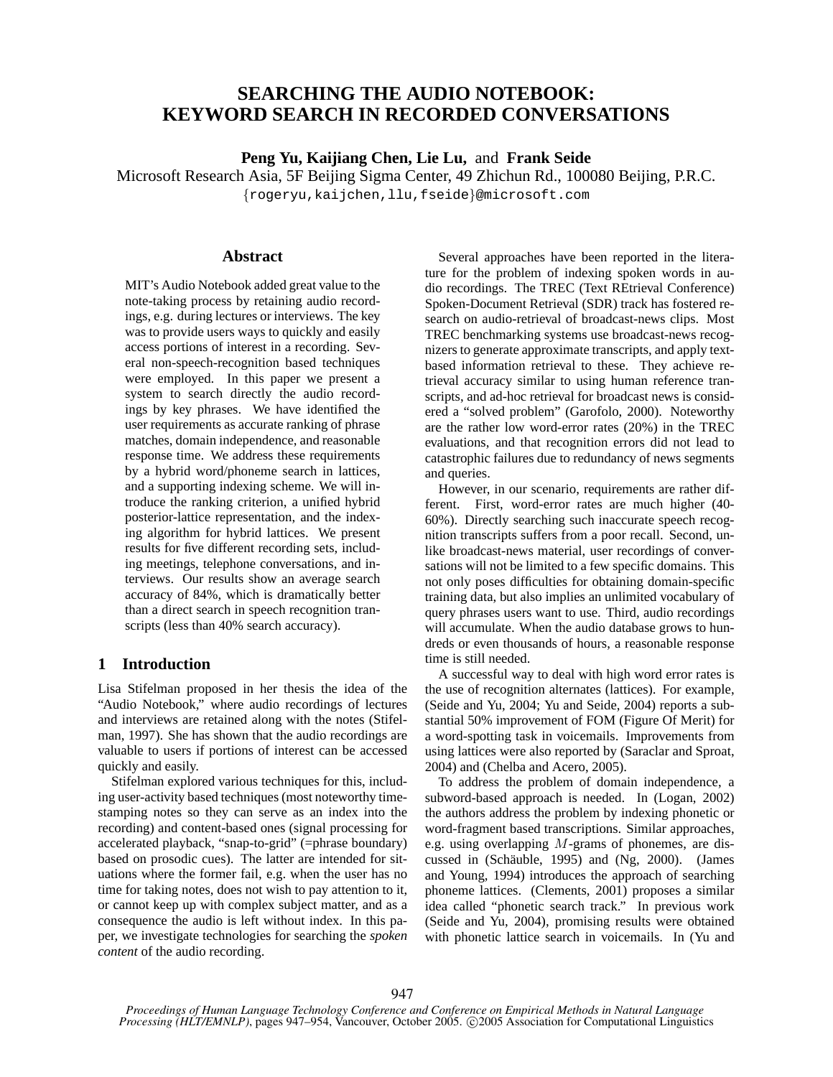# **SEARCHING THE AUDIO NOTEBOOK: KEYWORD SEARCH IN RECORDED CONVERSATIONS**

**Peng Yu, Kaijiang Chen, Lie Lu,** and **Frank Seide**

Microsoft Research Asia, 5F Beijing Sigma Center, 49 Zhichun Rd., 100080 Beijing, P.R.C. {rogeryu,kaijchen,llu,fseide}@microsoft.com

### **Abstract**

MIT's Audio Notebook added great value to the note-taking process by retaining audio recordings, e.g. during lectures or interviews. The key was to provide users ways to quickly and easily access portions of interest in a recording. Several non-speech-recognition based techniques were employed. In this paper we present a system to search directly the audio recordings by key phrases. We have identified the user requirements as accurate ranking of phrase matches, domain independence, and reasonable response time. We address these requirements by a hybrid word/phoneme search in lattices, and a supporting indexing scheme. We will introduce the ranking criterion, a unified hybrid posterior-lattice representation, and the indexing algorithm for hybrid lattices. We present results for five different recording sets, including meetings, telephone conversations, and interviews. Our results show an average search accuracy of 84%, which is dramatically better than a direct search in speech recognition transcripts (less than 40% search accuracy).

### **1 Introduction**

Lisa Stifelman proposed in her thesis the idea of the "Audio Notebook," where audio recordings of lectures and interviews are retained along with the notes (Stifelman, 1997). She has shown that the audio recordings are valuable to users if portions of interest can be accessed quickly and easily.

Stifelman explored various techniques for this, including user-activity based techniques (most noteworthy timestamping notes so they can serve as an index into the recording) and content-based ones (signal processing for accelerated playback, "snap-to-grid" (=phrase boundary) based on prosodic cues). The latter are intended for situations where the former fail, e.g. when the user has no time for taking notes, does not wish to pay attention to it, or cannot keep up with complex subject matter, and as a consequence the audio is left without index. In this paper, we investigate technologies for searching the *spoken content* of the audio recording.

Several approaches have been reported in the literature for the problem of indexing spoken words in audio recordings. The TREC (Text REtrieval Conference) Spoken-Document Retrieval (SDR) track has fostered research on audio-retrieval of broadcast-news clips. Most TREC benchmarking systems use broadcast-news recognizers to generate approximate transcripts, and apply textbased information retrieval to these. They achieve retrieval accuracy similar to using human reference transcripts, and ad-hoc retrieval for broadcast news is considered a "solved problem" (Garofolo, 2000). Noteworthy are the rather low word-error rates (20%) in the TREC evaluations, and that recognition errors did not lead to catastrophic failures due to redundancy of news segments and queries.

However, in our scenario, requirements are rather different. First, word-error rates are much higher (40- 60%). Directly searching such inaccurate speech recognition transcripts suffers from a poor recall. Second, unlike broadcast-news material, user recordings of conversations will not be limited to a few specific domains. This not only poses difficulties for obtaining domain-specific training data, but also implies an unlimited vocabulary of query phrases users want to use. Third, audio recordings will accumulate. When the audio database grows to hundreds or even thousands of hours, a reasonable response time is still needed.

A successful way to deal with high word error rates is the use of recognition alternates (lattices). For example, (Seide and Yu, 2004; Yu and Seide, 2004) reports a substantial 50% improvement of FOM (Figure Of Merit) for a word-spotting task in voicemails. Improvements from using lattices were also reported by (Saraclar and Sproat, 2004) and (Chelba and Acero, 2005).

To address the problem of domain independence, a subword-based approach is needed. In (Logan, 2002) the authors address the problem by indexing phonetic or word-fragment based transcriptions. Similar approaches, e.g. using overlapping M-grams of phonemes, are discussed in (Schäuble, 1995) and (Ng, 2000). (James and Young, 1994) introduces the approach of searching phoneme lattices. (Clements, 2001) proposes a similar idea called "phonetic search track." In previous work (Seide and Yu, 2004), promising results were obtained with phonetic lattice search in voicemails. In (Yu and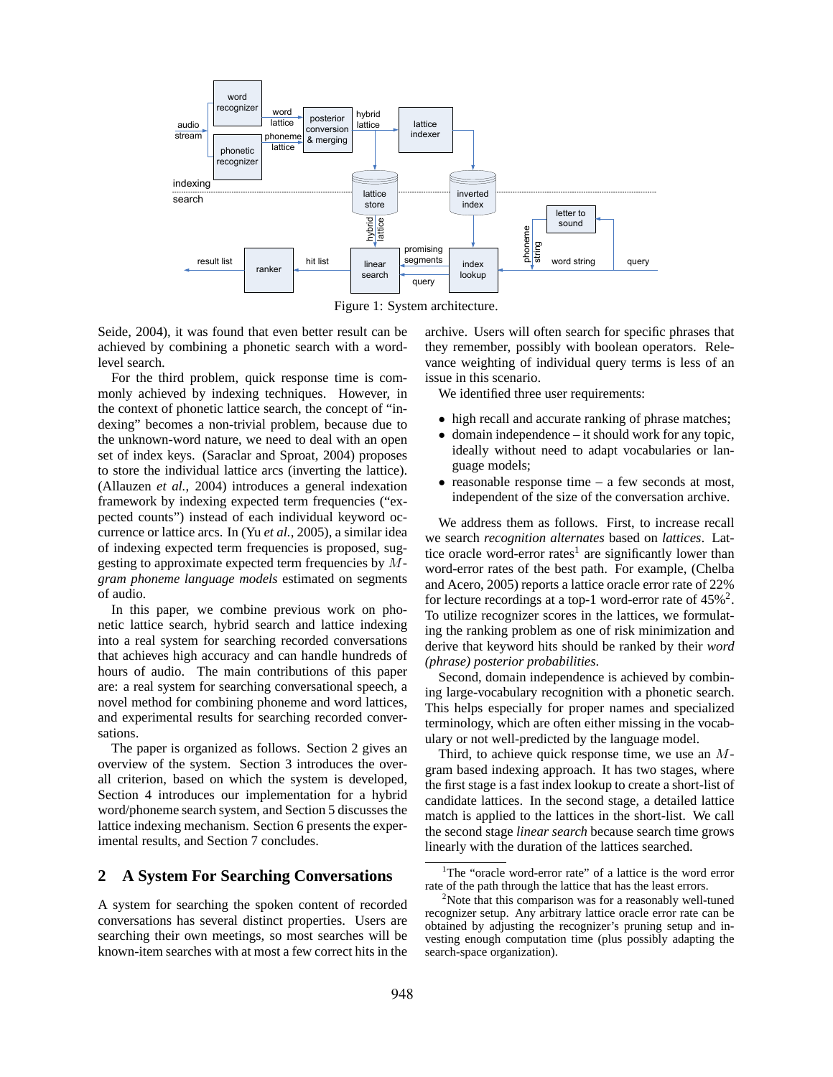

Figure 1: System architecture.

Seide, 2004), it was found that even better result can be achieved by combining a phonetic search with a wordlevel search.

For the third problem, quick response time is commonly achieved by indexing techniques. However, in the context of phonetic lattice search, the concept of "indexing" becomes a non-trivial problem, because due to the unknown-word nature, we need to deal with an open set of index keys. (Saraclar and Sproat, 2004) proposes to store the individual lattice arcs (inverting the lattice). (Allauzen *et al.*, 2004) introduces a general indexation framework by indexing expected term frequencies ("expected counts") instead of each individual keyword occurrence or lattice arcs. In (Yu *et al.*, 2005), a similar idea of indexing expected term frequencies is proposed, suggesting to approximate expected term frequencies by M*gram phoneme language models* estimated on segments of audio.

In this paper, we combine previous work on phonetic lattice search, hybrid search and lattice indexing into a real system for searching recorded conversations that achieves high accuracy and can handle hundreds of hours of audio. The main contributions of this paper are: a real system for searching conversational speech, a novel method for combining phoneme and word lattices, and experimental results for searching recorded conversations.

The paper is organized as follows. Section 2 gives an overview of the system. Section 3 introduces the overall criterion, based on which the system is developed, Section 4 introduces our implementation for a hybrid word/phoneme search system, and Section 5 discusses the lattice indexing mechanism. Section 6 presents the experimental results, and Section 7 concludes.

# **2 A System For Searching Conversations**

A system for searching the spoken content of recorded conversations has several distinct properties. Users are searching their own meetings, so most searches will be known-item searches with at most a few correct hits in the archive. Users will often search for specific phrases that they remember, possibly with boolean operators. Relevance weighting of individual query terms is less of an issue in this scenario.

We identified three user requirements:

- high recall and accurate ranking of phrase matches;
- domain independence it should work for any topic, ideally without need to adapt vocabularies or language models;
- $\bullet$  reasonable response time a few seconds at most, independent of the size of the conversation archive.

We address them as follows. First, to increase recall we search *recognition alternates* based on *lattices*. Lattice oracle word-error rates<sup>1</sup> are significantly lower than word-error rates of the best path. For example, (Chelba and Acero, 2005) reports a lattice oracle error rate of 22% for lecture recordings at a top-1 word-error rate of  $45\%^2$ . To utilize recognizer scores in the lattices, we formulating the ranking problem as one of risk minimization and derive that keyword hits should be ranked by their *word (phrase) posterior probabilities*.

Second, domain independence is achieved by combining large-vocabulary recognition with a phonetic search. This helps especially for proper names and specialized terminology, which are often either missing in the vocabulary or not well-predicted by the language model.

Third, to achieve quick response time, we use an  $M$ gram based indexing approach. It has two stages, where the first stage is a fast index lookup to create a short-list of candidate lattices. In the second stage, a detailed lattice match is applied to the lattices in the short-list. We call the second stage *linear search* because search time grows linearly with the duration of the lattices searched.

<sup>&</sup>lt;sup>1</sup>The "oracle word-error rate" of a lattice is the word error rate of the path through the lattice that has the least errors.

<sup>&</sup>lt;sup>2</sup>Note that this comparison was for a reasonably well-tuned recognizer setup. Any arbitrary lattice oracle error rate can be obtained by adjusting the recognizer's pruning setup and investing enough computation time (plus possibly adapting the search-space organization).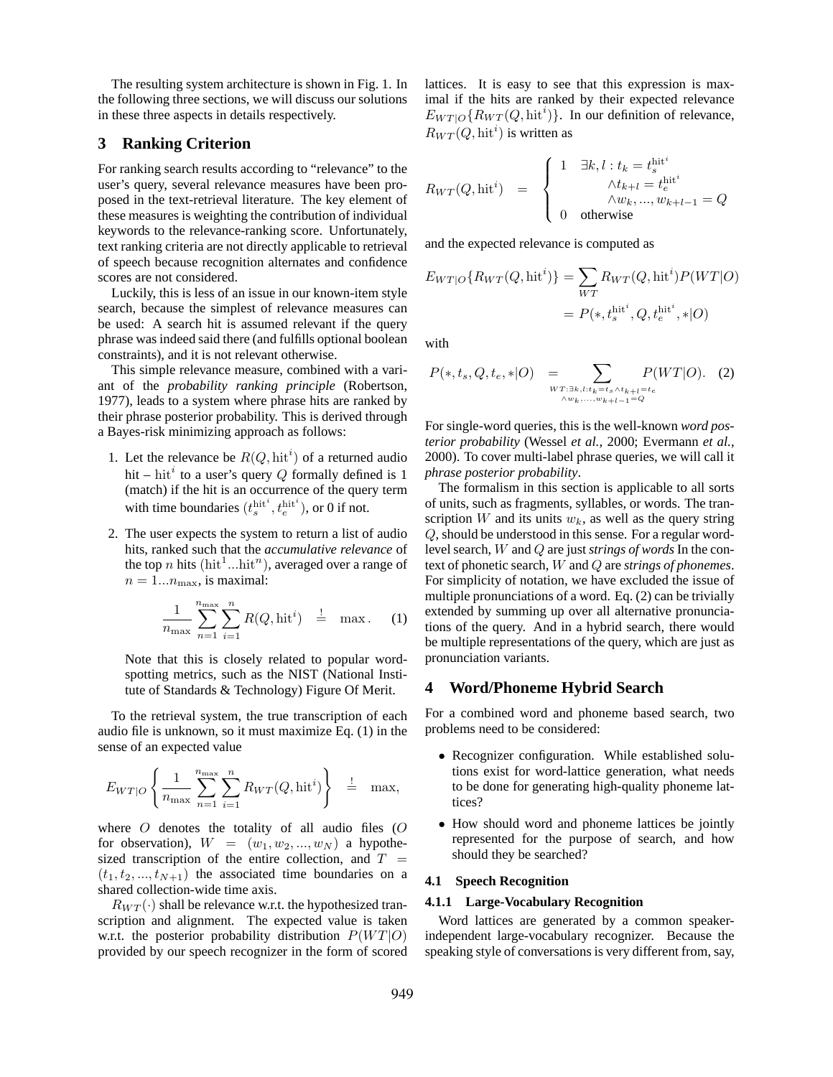The resulting system architecture is shown in Fig. 1. In the following three sections, we will discuss our solutions in these three aspects in details respectively.

### **3 Ranking Criterion**

For ranking search results according to "relevance" to the user's query, several relevance measures have been proposed in the text-retrieval literature. The key element of these measures is weighting the contribution of individual keywords to the relevance-ranking score. Unfortunately, text ranking criteria are not directly applicable to retrieval of speech because recognition alternates and confidence scores are not considered.

Luckily, this is less of an issue in our known-item style search, because the simplest of relevance measures can be used: A search hit is assumed relevant if the query phrase was indeed said there (and fulfills optional boolean constraints), and it is not relevant otherwise.

This simple relevance measure, combined with a variant of the *probability ranking principle* (Robertson, 1977), leads to a system where phrase hits are ranked by their phrase posterior probability. This is derived through a Bayes-risk minimizing approach as follows:

- 1. Let the relevance be  $R(Q, \text{hit}^i)$  of a returned audio hit – hit<sup>*i*</sup> to a user's query Q formally defined is 1 (match) if the hit is an occurrence of the query term with time boundaries  $(t_s^{\text{hit}^i}, t_e^{\text{hit}^i})$ , or 0 if not.
- 2. The user expects the system to return a list of audio hits, ranked such that the *accumulative relevance* of the top n hits ( $hit^1...hit^n$ ), averaged over a range of  $n = 1...n_{\text{max}}$ , is maximal:

$$
\frac{1}{n_{\max}}\sum_{n=1}^{n_{\max}}\sum_{i=1}^{n}R(Q,\text{hit}^{i}) \quad \stackrel{!}{=} \quad \text{max} \quad (1)
$$

Note that this is closely related to popular wordspotting metrics, such as the NIST (National Institute of Standards & Technology) Figure Of Merit.

To the retrieval system, the true transcription of each audio file is unknown, so it must maximize Eq. (1) in the sense of an expected value

$$
E_{WT|O}\left\{\frac{1}{n_{\max}}\sum_{n=1}^{n_{\max}}\sum_{i=1}^{n}R_{WT}(Q,\text{hit}^{i})\right\} \quad \stackrel{!}{=} \quad \text{max},
$$

where  $O$  denotes the totality of all audio files  $(O)$ for observation),  $W = (w_1, w_2, ..., w_N)$  a hypothesized transcription of the entire collection, and  $T =$  $(t_1, t_2, ..., t_{N+1})$  the associated time boundaries on a shared collection-wide time axis.

 $R_{WT}(\cdot)$  shall be relevance w.r.t. the hypothesized transcription and alignment. The expected value is taken w.r.t. the posterior probability distribution  $P(W T | O)$ provided by our speech recognizer in the form of scored lattices. It is easy to see that this expression is maximal if the hits are ranked by their expected relevance  $E_{WT|O}$ { $R_{WT}(Q, hit<sup>i</sup>)$ }. In our definition of relevance,  $R_{WT}(Q, \text{hit}^i)$  is written as

$$
R_{WT}(Q, \text{hit}^i) = \begin{cases} 1 & \exists k, l : t_k = t_s^{\text{hit}^i} \\ \wedge t_{k+l} = t_e^{\text{hit}^i} \\ \wedge w_k, ..., w_{k+l-1} = Q \\ 0 & \text{otherwise} \end{cases}
$$

and the expected relevance is computed as

$$
E_{WT|O} \{ R_{WT}(Q, \text{hit}^i) \} = \sum_{WT} R_{WT}(Q, \text{hit}^i) P(WT|O)
$$
  
=  $P(*, t_s^{\text{hit}^i}, Q, t_e^{\text{hit}^i}, *|O)$ 

with

$$
P(*, t_s, Q, t_e, * | O) = \sum_{\substack{W T : \exists k, l : t_k = t_s \wedge t_{k+l} = t_e \\ \wedge w_k, \dots, w_{k+l-1} = Q}} P(W T | O). \quad (2)
$$

For single-word queries, this is the well-known *word posterior probability* (Wessel *et al.*, 2000; Evermann *et al.*, 2000). To cover multi-label phrase queries, we will call it *phrase posterior probability*.

The formalism in this section is applicable to all sorts of units, such as fragments, syllables, or words. The transcription W and its units  $w_k$ , as well as the query string Q, should be understood in this sense. For a regular wordlevel search, W and Q are just *strings of words* In the context of phonetic search, W and Q are *strings of phonemes*. For simplicity of notation, we have excluded the issue of multiple pronunciations of a word. Eq. (2) can be trivially extended by summing up over all alternative pronunciations of the query. And in a hybrid search, there would be multiple representations of the query, which are just as pronunciation variants.

# **4 Word/Phoneme Hybrid Search**

For a combined word and phoneme based search, two problems need to be considered:

- Recognizer configuration. While established solutions exist for word-lattice generation, what needs to be done for generating high-quality phoneme lattices?
- How should word and phoneme lattices be jointly represented for the purpose of search, and how should they be searched?

#### **4.1 Speech Recognition**

#### **4.1.1 Large-Vocabulary Recognition**

Word lattices are generated by a common speakerindependent large-vocabulary recognizer. Because the speaking style of conversations is very different from, say,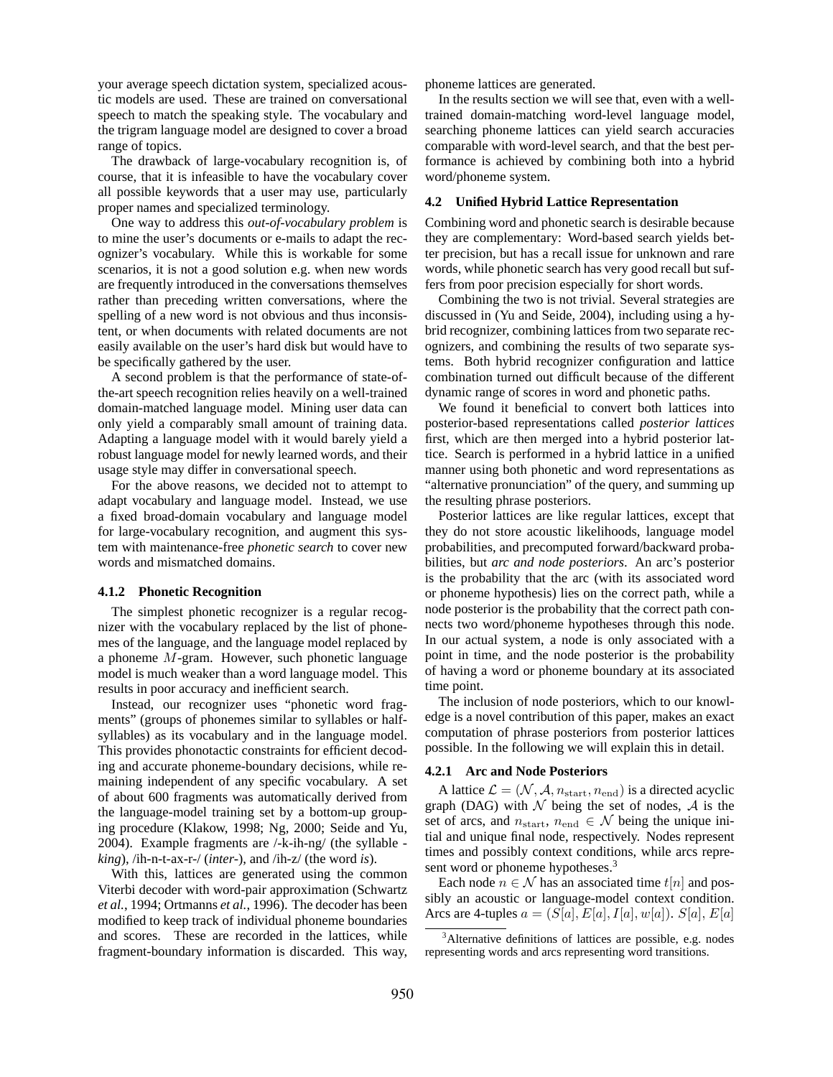your average speech dictation system, specialized acoustic models are used. These are trained on conversational speech to match the speaking style. The vocabulary and the trigram language model are designed to cover a broad range of topics.

The drawback of large-vocabulary recognition is, of course, that it is infeasible to have the vocabulary cover all possible keywords that a user may use, particularly proper names and specialized terminology.

One way to address this *out-of-vocabulary problem* is to mine the user's documents or e-mails to adapt the recognizer's vocabulary. While this is workable for some scenarios, it is not a good solution e.g. when new words are frequently introduced in the conversations themselves rather than preceding written conversations, where the spelling of a new word is not obvious and thus inconsistent, or when documents with related documents are not easily available on the user's hard disk but would have to be specifically gathered by the user.

A second problem is that the performance of state-ofthe-art speech recognition relies heavily on a well-trained domain-matched language model. Mining user data can only yield a comparably small amount of training data. Adapting a language model with it would barely yield a robust language model for newly learned words, and their usage style may differ in conversational speech.

For the above reasons, we decided not to attempt to adapt vocabulary and language model. Instead, we use a fixed broad-domain vocabulary and language model for large-vocabulary recognition, and augment this system with maintenance-free *phonetic search* to cover new words and mismatched domains.

#### **4.1.2 Phonetic Recognition**

The simplest phonetic recognizer is a regular recognizer with the vocabulary replaced by the list of phonemes of the language, and the language model replaced by a phoneme M-gram. However, such phonetic language model is much weaker than a word language model. This results in poor accuracy and inefficient search.

Instead, our recognizer uses "phonetic word fragments" (groups of phonemes similar to syllables or halfsyllables) as its vocabulary and in the language model. This provides phonotactic constraints for efficient decoding and accurate phoneme-boundary decisions, while remaining independent of any specific vocabulary. A set of about 600 fragments was automatically derived from the language-model training set by a bottom-up grouping procedure (Klakow, 1998; Ng, 2000; Seide and Yu, 2004). Example fragments are /-k-ih-ng/ (the syllable  *king*), /ih-n-t-ax-r-/ (*inter-*), and /ih-z/ (the word *is*).

With this, lattices are generated using the common Viterbi decoder with word-pair approximation (Schwartz *et al.*, 1994; Ortmanns *et al.*, 1996). The decoder has been modified to keep track of individual phoneme boundaries and scores. These are recorded in the lattices, while fragment-boundary information is discarded. This way, phoneme lattices are generated.

In the results section we will see that, even with a welltrained domain-matching word-level language model, searching phoneme lattices can yield search accuracies comparable with word-level search, and that the best performance is achieved by combining both into a hybrid word/phoneme system.

### **4.2 Unified Hybrid Lattice Representation**

Combining word and phonetic search is desirable because they are complementary: Word-based search yields better precision, but has a recall issue for unknown and rare words, while phonetic search has very good recall but suffers from poor precision especially for short words.

Combining the two is not trivial. Several strategies are discussed in (Yu and Seide, 2004), including using a hybrid recognizer, combining lattices from two separate recognizers, and combining the results of two separate systems. Both hybrid recognizer configuration and lattice combination turned out difficult because of the different dynamic range of scores in word and phonetic paths.

We found it beneficial to convert both lattices into posterior-based representations called *posterior lattices* first, which are then merged into a hybrid posterior lattice. Search is performed in a hybrid lattice in a unified manner using both phonetic and word representations as "alternative pronunciation" of the query, and summing up the resulting phrase posteriors.

Posterior lattices are like regular lattices, except that they do not store acoustic likelihoods, language model probabilities, and precomputed forward/backward probabilities, but *arc and node posteriors*. An arc's posterior is the probability that the arc (with its associated word or phoneme hypothesis) lies on the correct path, while a node posterior is the probability that the correct path connects two word/phoneme hypotheses through this node. In our actual system, a node is only associated with a point in time, and the node posterior is the probability of having a word or phoneme boundary at its associated time point.

The inclusion of node posteriors, which to our knowledge is a novel contribution of this paper, makes an exact computation of phrase posteriors from posterior lattices possible. In the following we will explain this in detail.

#### **4.2.1 Arc and Node Posteriors**

A lattice  $\mathcal{L} = (\mathcal{N}, \mathcal{A}, n_{\text{start}}, n_{\text{end}})$  is a directed acyclic graph (DAG) with  $\mathcal N$  being the set of nodes,  $\mathcal A$  is the set of arcs, and  $n_{\text{start}}$ ,  $n_{\text{end}} \in \mathcal{N}$  being the unique initial and unique final node, respectively. Nodes represent times and possibly context conditions, while arcs represent word or phoneme hypotheses.<sup>3</sup>

Each node  $n \in \mathcal{N}$  has an associated time  $t[n]$  and possibly an acoustic or language-model context condition. Arcs are 4-tuples  $a = (S[a], E[a], I[a], w[a])$ .  $S[a], E[a]$ 

<sup>&</sup>lt;sup>3</sup>Alternative definitions of lattices are possible, e.g. nodes representing words and arcs representing word transitions.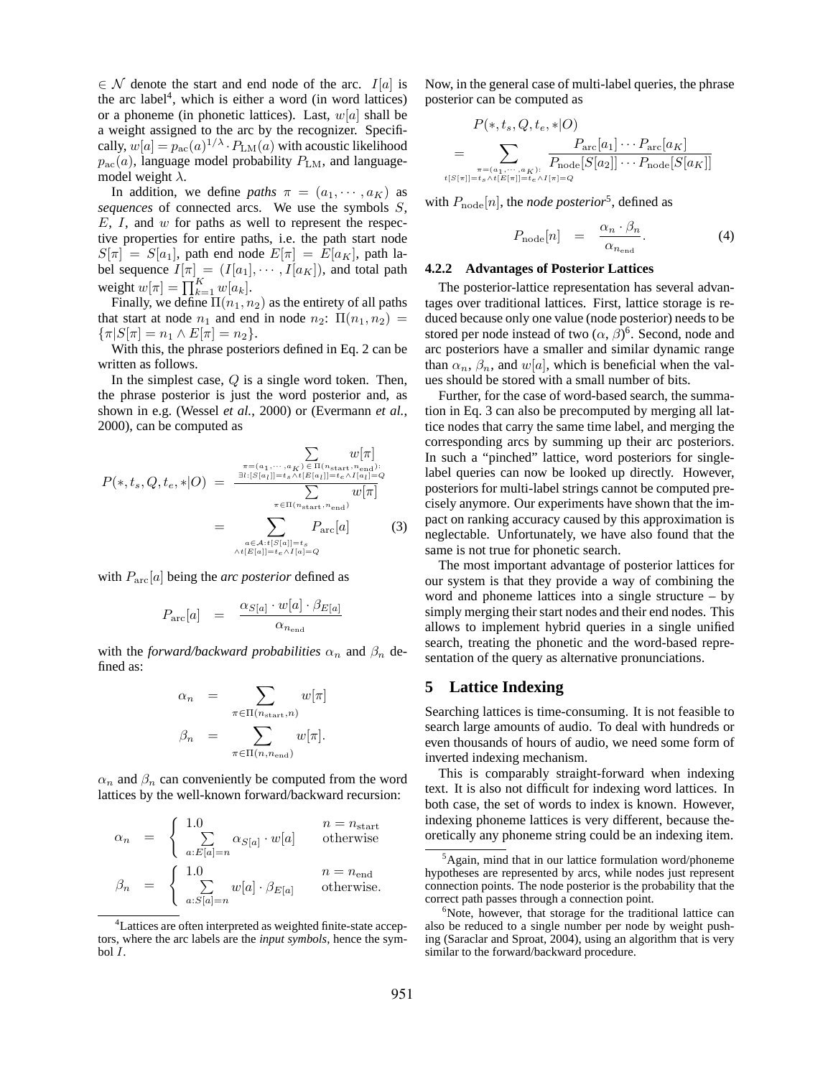$\in \mathcal{N}$  denote the start and end node of the arc.  $I[a]$  is the arc label<sup>4</sup> , which is either a word (in word lattices) or a phoneme (in phonetic lattices). Last,  $w[a]$  shall be a weight assigned to the arc by the recognizer. Specifically,  $w[a] = p_{ac}(a)^{1/\lambda} \cdot P_{LM}(a)$  with acoustic likelihood  $p_{\text{ac}}(a)$ , language model probability  $P_{\text{LM}}$ , and languagemodel weight  $\lambda$ .

In addition, we define *paths*  $\pi = (a_1, \dots, a_K)$  as *sequences* of connected arcs. We use the symbols S,  $E, I$ , and  $w$  for paths as well to represent the respective properties for entire paths, i.e. the path start node  $S[\pi] = S[a_1]$ , path end node  $E[\pi] = E[a_K]$ , path label sequence  $I[\pi] = (I[a_1], \cdots, I[a_K])$ , and total path<br>weight  $w[\pi] = \prod_{k=1}^K w[a_k]$ .

Finally, we define  $\Pi(n_1, n_2)$  as the entirety of all paths that start at node  $n_1$  and end in node  $n_2$ :  $\Pi(n_1, n_2)$  =  $\{\pi|S[\pi] = n_1 \wedge E[\pi] = n_2\}.$ 

With this, the phrase posteriors defined in Eq. 2 can be written as follows.

In the simplest case,  $Q$  is a single word token. Then, the phrase posterior is just the word posterior and, as shown in e.g. (Wessel *et al.*, 2000) or (Evermann *et al.*, 2000), can be computed as

$$
P(*,t_s,Q,t_e,*|O) = \frac{\sum\limits_{\pi=(a_1,\cdots,a_K)\in\Pi(n_{\text{start}},n_{\text{end}}):}\n\begin{aligned}\nw[\pi] \\
w[\pi] \\
= \sum\limits_{\substack{\pi:(S[a_1]]=t_s\wedge t[E[a_1]]=t_e\wedge I[a_1]=Q \\
m\in\Pi(n_{\text{start}},n_{\text{end}})}}\n\begin{aligned}\nw[\pi] \\
w[\pi] \\
w[\pi] \\
\text{(3)} \\
\wedge t^{[E[a]]=t_e\wedge I[a]=Q}\n\end{aligned}
$$

with Parc[a] being the *arc posterior* defined as

$$
P_{\rm arc}[a] = \frac{\alpha_{S[a]} \cdot w[a] \cdot \beta_{E[a]}}{\alpha_{n_{\rm end}}}
$$

with the *forward/backward probabilities*  $\alpha_n$  and  $\beta_n$  defined as:

$$
\alpha_n = \sum_{\pi \in \Pi(n_{\text{start}}, n)} w[\pi]
$$

$$
\beta_n = \sum_{\pi \in \Pi(n, n_{\text{end}})} w[\pi].
$$

 $\alpha_n$  and  $\beta_n$  can conveniently be computed from the word lattices by the well-known forward/backward recursion:

$$
\begin{array}{rcl} \alpha_n &=& \left\{ \begin{array}{lcl} 1.0 & n=n_{\mathrm{start}} \\ \sum\limits_{a:E[a]=n} \alpha_{S[a]} \cdot w[a] & \text{otherwise} \end{array} \right. \\ \beta_n &=& \left\{ \begin{array}{lcl} 1.0 & n=n_{\mathrm{end}} \\ \sum\limits_{a:S[a]=n} w[a] \cdot \beta_{E[a]} & \text{otherwise}. \end{array} \right. \end{array}
$$

Now, in the general case of multi-label queries, the phrase posterior can be computed as

$$
P(*,t_s,Q,t_e,*|O)
$$
\n
$$
= \sum_{\pi=(a_1,\cdots,a_K):\atop t|S[\pi]|=t_s\wedge t|E[\pi]|=t_e\wedge I[\pi]=Q} \frac{P_{\text{arc}}[a_1]\cdots P_{\text{arc}}[a_K]}{P_{\text{node}}[S[a_2]]\cdots P_{\text{node}}[S[a_K]]}
$$

with  $P_{\text{node}}[n]$ , the *node posterior*<sup>5</sup>, defined as

$$
P_{\text{node}}[n] = \frac{\alpha_n \cdot \beta_n}{\alpha_{n_{\text{end}}}}.
$$
 (4)

#### **4.2.2 Advantages of Posterior Lattices**

The posterior-lattice representation has several advantages over traditional lattices. First, lattice storage is reduced because only one value (node posterior) needs to be stored per node instead of two  $(\alpha, \beta)^6$ . Second, node and arc posteriors have a smaller and similar dynamic range than  $\alpha_n$ ,  $\beta_n$ , and w[a], which is beneficial when the values should be stored with a small number of bits.

Further, for the case of word-based search, the summation in Eq. 3 can also be precomputed by merging all lattice nodes that carry the same time label, and merging the corresponding arcs by summing up their arc posteriors. In such a "pinched" lattice, word posteriors for singlelabel queries can now be looked up directly. However, posteriors for multi-label strings cannot be computed precisely anymore. Our experiments have shown that the impact on ranking accuracy caused by this approximation is neglectable. Unfortunately, we have also found that the same is not true for phonetic search.

The most important advantage of posterior lattices for our system is that they provide a way of combining the word and phoneme lattices into a single structure – by simply merging their start nodes and their end nodes. This allows to implement hybrid queries in a single unified search, treating the phonetic and the word-based representation of the query as alternative pronunciations.

# **5 Lattice Indexing**

Searching lattices is time-consuming. It is not feasible to search large amounts of audio. To deal with hundreds or even thousands of hours of audio, we need some form of inverted indexing mechanism.

This is comparably straight-forward when indexing text. It is also not difficult for indexing word lattices. In both case, the set of words to index is known. However, indexing phoneme lattices is very different, because theoretically any phoneme string could be an indexing item.

<sup>4</sup>Lattices are often interpreted as weighted finite-state acceptors, where the arc labels are the *input symbols*, hence the symbol I.

 ${}^{5}$ Again, mind that in our lattice formulation word/phoneme hypotheses are represented by arcs, while nodes just represent connection points. The node posterior is the probability that the correct path passes through a connection point.

 $6$ Note, however, that storage for the traditional lattice can also be reduced to a single number per node by weight pushing (Saraclar and Sproat, 2004), using an algorithm that is very similar to the forward/backward procedure.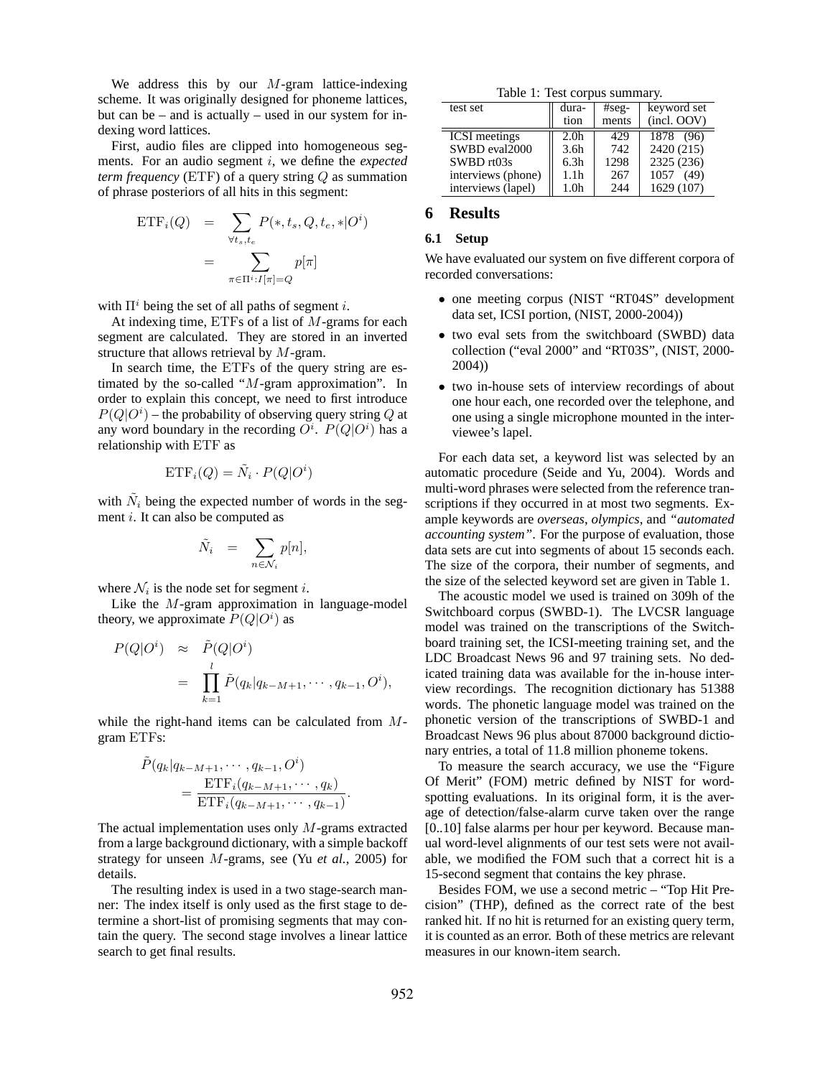We address this by our  $M$ -gram lattice-indexing scheme. It was originally designed for phoneme lattices, but can be – and is actually – used in our system for indexing word lattices.

First, audio files are clipped into homogeneous segments. For an audio segment i, we define the *expected term frequency* (ETF) of a query string Q as summation of phrase posteriors of all hits in this segment:

$$
\begin{aligned} \text{ETF}_{i}(Q) &= \sum_{\forall t_s, t_e} P(*, t_s, Q, t_e, * | O^i) \\ &= \sum_{\pi \in \Pi^i : I[\pi] = Q} p[\pi] \end{aligned}
$$

with  $\Pi^i$  being the set of all paths of segment i.

At indexing time,  $ETFs$  of a list of  $M$ -grams for each segment are calculated. They are stored in an inverted structure that allows retrieval by M-gram.

In search time, the ETFs of the query string are estimated by the so-called "M-gram approximation". In order to explain this concept, we need to first introduce  $P(Q|O^i)$  – the probability of observing query string Q at any word boundary in the recording  $O^i$ .  $P(Q|O^i)$  has a relationship with ETF as

$$
ETF_i(Q) = \tilde{N}_i \cdot P(Q|O^i)
$$

with  $\tilde{N}_i$  being the expected number of words in the segment i. It can also be computed as

$$
\tilde{N}_i = \sum_{n \in \mathcal{N}_i} p[n],
$$

where  $\mathcal{N}_i$  is the node set for segment *i*.

Like the M-gram approximation in language-model theory, we approximate  $P(Q|O^i)$  as

$$
P(Q|O^i) \approx \tilde{P}(Q|O^i)
$$
  
= 
$$
\prod_{k=1}^l \tilde{P}(q_k|q_{k-M+1}, \cdots, q_{k-1}, O^i),
$$

while the right-hand items can be calculated from Mgram ETFs:

$$
\tilde{P}(q_k|q_{k-M+1},\cdots,q_{k-1},O^i)
$$
\n
$$
=\frac{\text{ETF}_i(q_{k-M+1},\cdots,q_k)}{\text{ETF}_i(q_{k-M+1},\cdots,q_{k-1})}.
$$

The actual implementation uses only  $M$ -grams extracted from a large background dictionary, with a simple backoff strategy for unseen M-grams, see (Yu *et al.*, 2005) for details.

The resulting index is used in a two stage-search manner: The index itself is only used as the first stage to determine a short-list of promising segments that may contain the query. The second stage involves a linear lattice search to get final results.

|  |  |  | Table 1: Test corpus summary. |
|--|--|--|-------------------------------|
|--|--|--|-------------------------------|

| test set             | dura-            | $#seg-$ | keyword set |
|----------------------|------------------|---------|-------------|
|                      | tion             | ments   | (incl. OOV) |
| <b>ICSI</b> meetings | 2.0 <sub>h</sub> | 429     | 1878 (96)   |
| SWBD eval2000        | 3.6 <sub>h</sub> | 742     | 2420 (215)  |
| SWBD rt03s           | 6.3h             | 1298    | 2325 (236)  |
| interviews (phone)   | 1.1h             | 267     | 1057 (49)   |
| interviews (lapel)   | 1.0 <sub>h</sub> | 244     | 1629 (107)  |

# **6 Results**

# **6.1 Setup**

We have evaluated our system on five different corpora of recorded conversations:

- one meeting corpus (NIST "RT04S" development data set, ICSI portion, (NIST, 2000-2004))
- two eval sets from the switchboard (SWBD) data collection ("eval 2000" and "RT03S", (NIST, 2000- 2004))
- two in-house sets of interview recordings of about one hour each, one recorded over the telephone, and one using a single microphone mounted in the interviewee's lapel.

For each data set, a keyword list was selected by an automatic procedure (Seide and Yu, 2004). Words and multi-word phrases were selected from the reference transcriptions if they occurred in at most two segments. Example keywords are *overseas*, *olympics*, and *"automated accounting system"*. For the purpose of evaluation, those data sets are cut into segments of about 15 seconds each. The size of the corpora, their number of segments, and the size of the selected keyword set are given in Table 1.

The acoustic model we used is trained on 309h of the Switchboard corpus (SWBD-1). The LVCSR language model was trained on the transcriptions of the Switchboard training set, the ICSI-meeting training set, and the LDC Broadcast News 96 and 97 training sets. No dedicated training data was available for the in-house interview recordings. The recognition dictionary has 51388 words. The phonetic language model was trained on the phonetic version of the transcriptions of SWBD-1 and Broadcast News 96 plus about 87000 background dictionary entries, a total of 11.8 million phoneme tokens.

To measure the search accuracy, we use the "Figure Of Merit" (FOM) metric defined by NIST for wordspotting evaluations. In its original form, it is the average of detection/false-alarm curve taken over the range [0..10] false alarms per hour per keyword. Because manual word-level alignments of our test sets were not available, we modified the FOM such that a correct hit is a 15-second segment that contains the key phrase.

Besides FOM, we use a second metric – "Top Hit Precision" (THP), defined as the correct rate of the best ranked hit. If no hit is returned for an existing query term, it is counted as an error. Both of these metrics are relevant measures in our known-item search.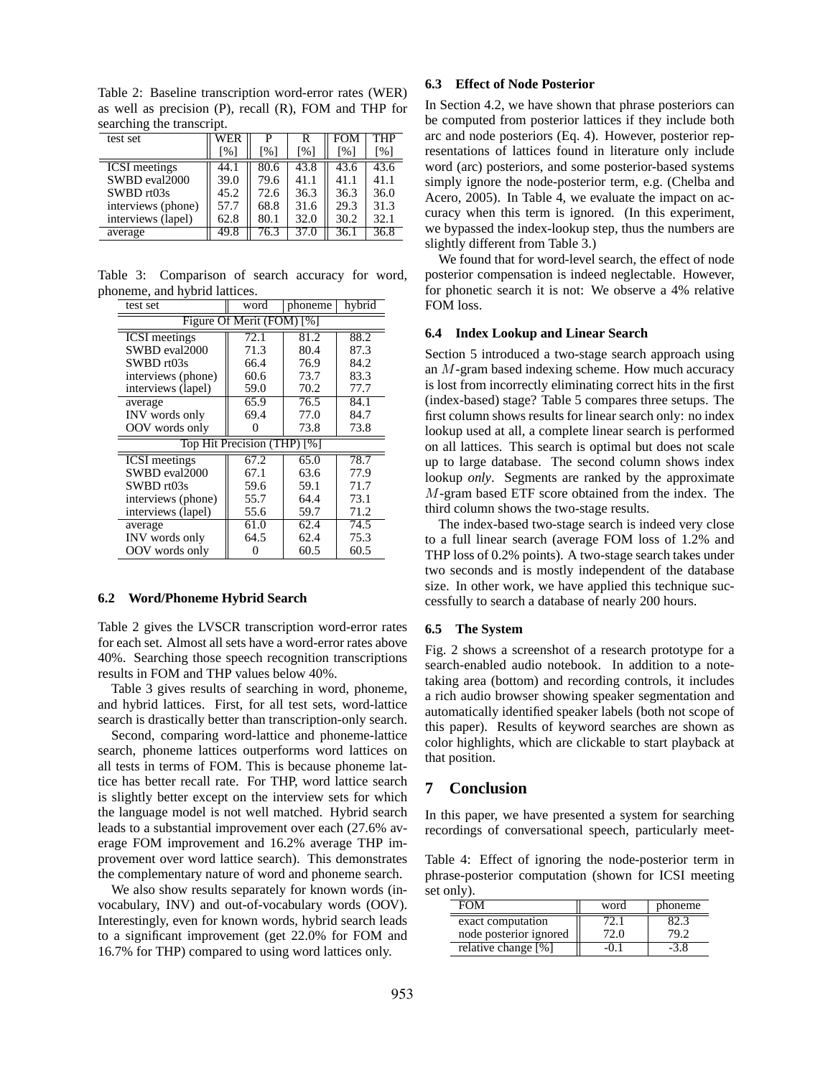Table 2: Baseline transcription word-error rates (WER) as well as precision (P), recall (R), FOM and THP for searching the transcript.

| test set             | WER               | P                 | R                 | FOM               | THP               |
|----------------------|-------------------|-------------------|-------------------|-------------------|-------------------|
|                      | $\lceil\% \rceil$ | $\lceil\% \rceil$ | $\lceil\% \rceil$ | $\lceil\% \rceil$ | $\lceil\% \rceil$ |
| <b>ICSI</b> meetings | 44.1              | 80.6              | 43.8              | 43.6              | 43.6              |
| SWBD eval2000        | 39.0              | 79.6              | 41.1              | 41.1              | 41.1              |
| SWBD rt03s           | 45.2              | 72.6              | 36.3              | 36.3              | 36.0              |
| interviews (phone)   | 57.7              | 68.8              | 31.6              | 29.3              | 31.3              |
| interviews (lapel)   | 62.8              | 80.1              | 32.0              | 30.2              | 32.1              |
| average              | 49.8              | 76.3              | 37.0              | 36.1              | 36.8              |

Table 3: Comparison of search accuracy for word, phoneme, and hybrid lattices.

| test set                                      | word | phoneme | hybrid |  |  |
|-----------------------------------------------|------|---------|--------|--|--|
| Figure Of Merit (FOM) [%]                     |      |         |        |  |  |
| <b>ICSI</b> meetings                          | 72.1 | 81.2    | 88.2   |  |  |
| SWBD eval2000                                 | 71.3 | 80.4    | 87.3   |  |  |
| $SWBD$ rt $03s$                               | 66.4 | 76.9    | 84.2   |  |  |
| interviews (phone)                            | 60.6 | 73.7    | 83.3   |  |  |
| interviews (lapel)                            | 59.0 | 70.2    | 77.7   |  |  |
| average                                       | 65.9 | 76.5    | 84.1   |  |  |
| INV words only                                | 69.4 | 77.0    | 84.7   |  |  |
| OOV words only                                |      | 73.8    | 73.8   |  |  |
| Top Hit Precision (THP)<br>$\lceil \% \rceil$ |      |         |        |  |  |
| <b>ICSI</b> meetings                          | 67.2 | 65.0    | 78.7   |  |  |
| SWBD eval2000                                 | 67.1 | 63.6    | 77.9   |  |  |
| SWBD rt03s                                    | 59.6 | 59.1    | 71.7   |  |  |
| interviews (phone)                            | 55.7 | 64.4    | 73.1   |  |  |
| interviews (lapel)                            | 55.6 | 59.7    | 71.2   |  |  |
| average                                       | 61.0 | 62.4    | 74.5   |  |  |
| INV words only                                | 64.5 | 62.4    | 75.3   |  |  |
| OOV words only                                |      | 60.5    | 60.5   |  |  |

#### **6.2 Word/Phoneme Hybrid Search**

Table 2 gives the LVSCR transcription word-error rates for each set. Almost all sets have a word-error rates above 40%. Searching those speech recognition transcriptions results in FOM and THP values below 40%.

Table 3 gives results of searching in word, phoneme, and hybrid lattices. First, for all test sets, word-lattice search is drastically better than transcription-only search.

Second, comparing word-lattice and phoneme-lattice search, phoneme lattices outperforms word lattices on all tests in terms of FOM. This is because phoneme lattice has better recall rate. For THP, word lattice search is slightly better except on the interview sets for which the language model is not well matched. Hybrid search leads to a substantial improvement over each (27.6% average FOM improvement and 16.2% average THP improvement over word lattice search). This demonstrates the complementary nature of word and phoneme search.

We also show results separately for known words (invocabulary, INV) and out-of-vocabulary words (OOV). Interestingly, even for known words, hybrid search leads to a significant improvement (get 22.0% for FOM and 16.7% for THP) compared to using word lattices only.

#### **6.3 Effect of Node Posterior**

In Section 4.2, we have shown that phrase posteriors can be computed from posterior lattices if they include both arc and node posteriors (Eq. 4). However, posterior representations of lattices found in literature only include word (arc) posteriors, and some posterior-based systems simply ignore the node-posterior term, e.g. (Chelba and Acero, 2005). In Table 4, we evaluate the impact on accuracy when this term is ignored. (In this experiment, we bypassed the index-lookup step, thus the numbers are slightly different from Table 3.)

We found that for word-level search, the effect of node posterior compensation is indeed neglectable. However, for phonetic search it is not: We observe a 4% relative FOM loss.

#### **6.4 Index Lookup and Linear Search**

Section 5 introduced a two-stage search approach using an M-gram based indexing scheme. How much accuracy is lost from incorrectly eliminating correct hits in the first (index-based) stage? Table 5 compares three setups. The first column shows results for linear search only: no index lookup used at all, a complete linear search is performed on all lattices. This search is optimal but does not scale up to large database. The second column shows index lookup *only*. Segments are ranked by the approximate M-gram based ETF score obtained from the index. The third column shows the two-stage results.

The index-based two-stage search is indeed very close to a full linear search (average FOM loss of 1.2% and THP loss of 0.2% points). A two-stage search takes under two seconds and is mostly independent of the database size. In other work, we have applied this technique successfully to search a database of nearly 200 hours.

#### **6.5 The System**

Fig. 2 shows a screenshot of a research prototype for a search-enabled audio notebook. In addition to a notetaking area (bottom) and recording controls, it includes a rich audio browser showing speaker segmentation and automatically identified speaker labels (both not scope of this paper). Results of keyword searches are shown as color highlights, which are clickable to start playback at that position.

# **7 Conclusion**

In this paper, we have presented a system for searching recordings of conversational speech, particularly meet-

Table 4: Effect of ignoring the node-posterior term in phrase-posterior computation (shown for ICSI meeting set only).

| FOM                    | word | phoneme |  |
|------------------------|------|---------|--|
| exact computation      | l'). |         |  |
| node posterior ignored | 72.O |         |  |
| relative change [%]    |      |         |  |